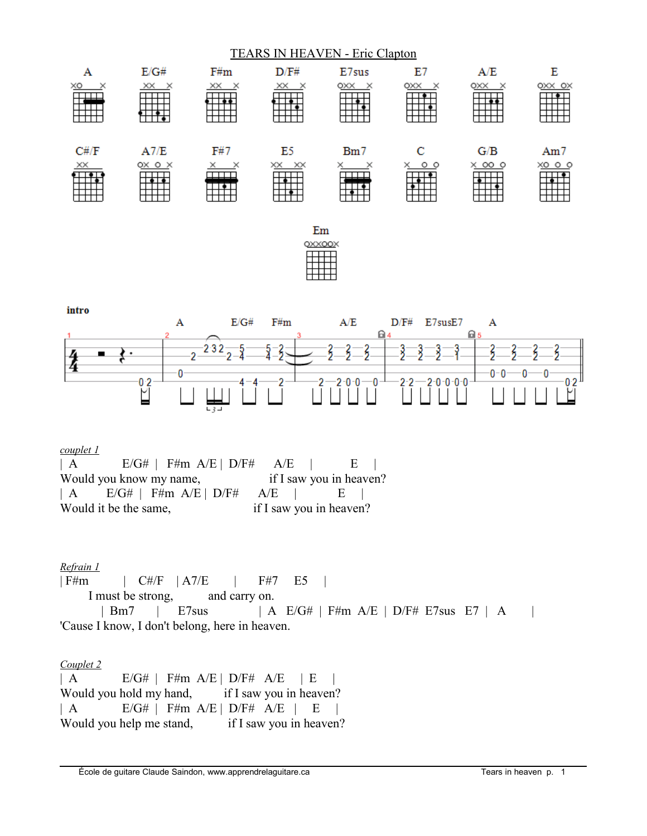



#### intro  $E/G#$ A  $F#m$  $A/E$  $D/F#$  E7susE7 A 日4 日5  $\frac{2}{2}$ 232  $-2\frac{5}{4}$  $\frac{2}{2}$  $\frac{2}{2}$ 3 z 3 z 3  $\overline{2}$ 0  $0 - 0$ 0 0  $\sqrt[0]{\frac{2}{\pi}}$  $2 - 0 - 0 - 0 - 0$  $2 - 0 - 0$ 0  $2 - 2$  $0.2$ 2

# *couplet 1*

| $\vert A$                 |  |  | $E/G#$   F#m A/E   D/F# | A/E                     |  |             |  |
|---------------------------|--|--|-------------------------|-------------------------|--|-------------|--|
| Would you know my name,   |  |  |                         | if I saw you in heaven? |  |             |  |
| $A$ E/G#   F#m A/E   D/F# |  |  |                         | $A/E$                   |  | $E_{\perp}$ |  |
| Would it be the same,     |  |  |                         | if I saw you in heaven? |  |             |  |

# *Refrain 1*

| F#m | C#/F | A7/E | F#7 E5 | I must be strong, and carry on. | Bm7 | E7sus | A E/G# | F#m A/E | D/F# E7sus E7 | A | 'Cause I know, I don't belong, here in heaven.

# *Couplet 2*

| A E/G# | F#m A/E | D/F# A/E | E | Would you hold my hand, if I saw you in heaven? | A E/G# | F#m A/E | D/F# A/E | E | Would you help me stand, if I saw you in heaven?